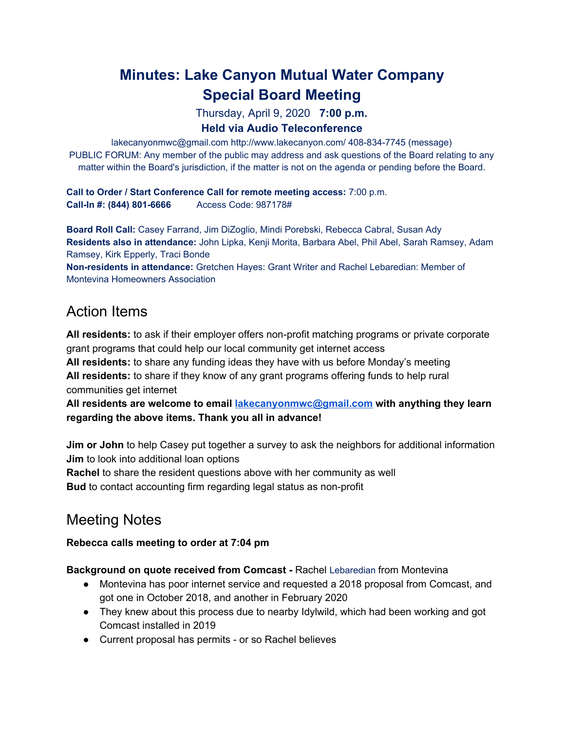# **Minutes: Lake Canyon Mutual Water Company Special Board Meeting**

Thursday, April 9, 2020 **7:00 p.m.**

# **Held via Audio Teleconference**

lakecanyonmwc@gmail.com http://www.lakecanyon.com/ 408-834-7745 (message) PUBLIC FORUM: Any member of the public may address and ask questions of the Board relating to any matter within the Board's jurisdiction, if the matter is not on the agenda or pending before the Board.

**Call to Order / Start Conference Call for remote meeting access:** 7:00 p.m. **Call-In #: (844) 801-6666** Access Code: 987178#

**Board Roll Call:** Casey Farrand, Jim DiZoglio, Mindi Porebski, Rebecca Cabral, Susan Ady **Residents also in attendance:** John Lipka, Kenji Morita, Barbara Abel, Phil Abel, Sarah Ramsey, Adam Ramsey, Kirk Epperly, Traci Bonde

**Non-residents in attendance:** Gretchen Hayes: Grant Writer and Rachel Lebaredian: Member of Montevina Homeowners Association

# Action Items

**All residents:** to ask if their employer offers non-profit matching programs or private corporate grant programs that could help our local community get internet access

**All residents:** to share any funding ideas they have with us before Monday's meeting **All residents:** to share if they know of any grant programs offering funds to help rural communities get internet

**All residents are welcome to email [lakecanyonmwc@gmail.com](mailto:lakecanyonmwc@gmail.com) with anything they learn regarding the above items. Thank you all in advance!**

**Jim or John** to help Casey put together a survey to ask the neighbors for additional information **Jim** to look into additional loan options

**Rachel** to share the resident questions above with her community as well **Bud** to contact accounting firm regarding legal status as non-profit

# Meeting Notes

# **Rebecca calls meeting to order at 7:04 pm**

#### **Background on quote received from Comcast -** Rachel Lebaredian from Montevina

- Montevina has poor internet service and requested a 2018 proposal from Comcast, and got one in October 2018, and another in February 2020
- They knew about this process due to nearby Idylwild, which had been working and got Comcast installed in 2019
- Current proposal has permits or so Rachel believes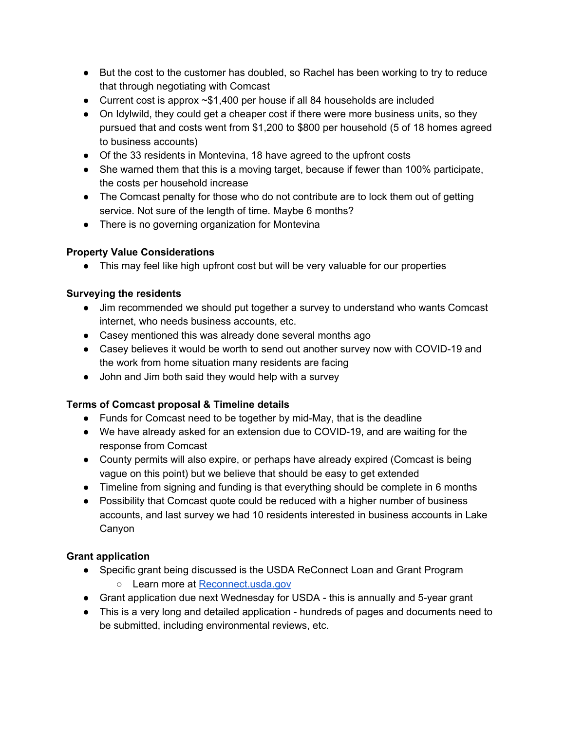- But the cost to the customer has doubled, so Rachel has been working to try to reduce that through negotiating with Comcast
- Current cost is approx ~\$1,400 per house if all 84 households are included
- On Idylwild, they could get a cheaper cost if there were more business units, so they pursued that and costs went from \$1,200 to \$800 per household (5 of 18 homes agreed to business accounts)
- Of the 33 residents in Montevina, 18 have agreed to the upfront costs
- She warned them that this is a moving target, because if fewer than 100% participate, the costs per household increase
- The Comcast penalty for those who do not contribute are to lock them out of getting service. Not sure of the length of time. Maybe 6 months?
- There is no governing organization for Montevina

# **Property Value Considerations**

● This may feel like high upfront cost but will be very valuable for our properties

#### **Surveying the residents**

- Jim recommended we should put together a survey to understand who wants Comcast internet, who needs business accounts, etc.
- Casey mentioned this was already done several months ago
- Casey believes it would be worth to send out another survey now with COVID-19 and the work from home situation many residents are facing
- John and Jim both said they would help with a survey

# **Terms of Comcast proposal & Timeline details**

- Funds for Comcast need to be together by mid-May, that is the deadline
- We have already asked for an extension due to COVID-19, and are waiting for the response from Comcast
- County permits will also expire, or perhaps have already expired (Comcast is being vague on this point) but we believe that should be easy to get extended
- Timeline from signing and funding is that everything should be complete in 6 months
- Possibility that Comcast quote could be reduced with a higher number of business accounts, and last survey we had 10 residents interested in business accounts in Lake Canyon

#### **Grant application**

- Specific grant being discussed is the USDA ReConnect Loan and Grant Program
	- Learn more at [Reconnect.usda.gov](https://www.usda.gov/reconnect)
- Grant application due next Wednesday for USDA this is annually and 5-year grant
- This is a very long and detailed application hundreds of pages and documents need to be submitted, including environmental reviews, etc.